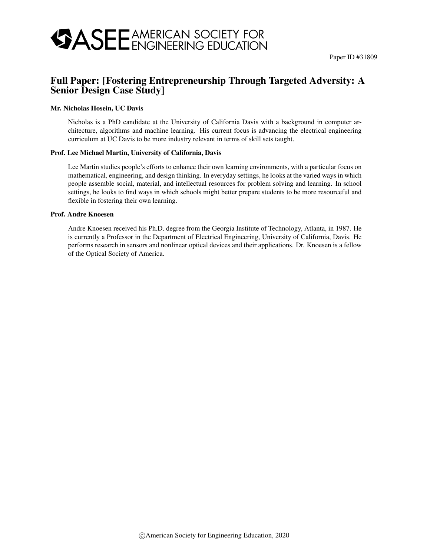## Full Paper: [Fostering Entrepreneurship Through Targeted Adversity: A Senior Design Case Study]

#### Mr. Nicholas Hosein, UC Davis

Nicholas is a PhD candidate at the University of California Davis with a background in computer architecture, algorithms and machine learning. His current focus is advancing the electrical engineering curriculum at UC Davis to be more industry relevant in terms of skill sets taught.

#### Prof. Lee Michael Martin, University of California, Davis

Lee Martin studies people's efforts to enhance their own learning environments, with a particular focus on mathematical, engineering, and design thinking. In everyday settings, he looks at the varied ways in which people assemble social, material, and intellectual resources for problem solving and learning. In school settings, he looks to find ways in which schools might better prepare students to be more resourceful and flexible in fostering their own learning.

#### Prof. Andre Knoesen

Andre Knoesen received his Ph.D. degree from the Georgia Institute of Technology, Atlanta, in 1987. He is currently a Professor in the Department of Electrical Engineering, University of California, Davis. He performs research in sensors and nonlinear optical devices and their applications. Dr. Knoesen is a fellow of the Optical Society of America.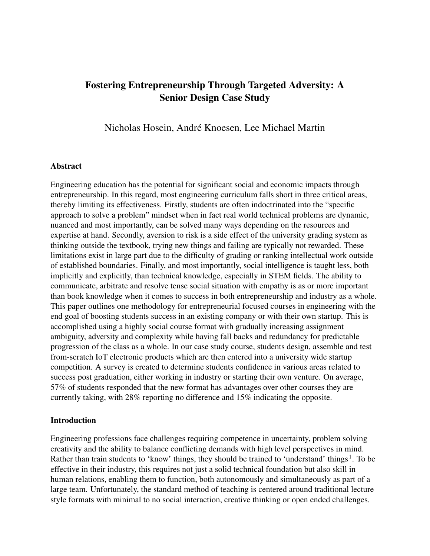# Fostering Entrepreneurship Through Targeted Adversity: A Senior Design Case Study

Nicholas Hosein, André Knoesen, Lee Michael Martin

### Abstract

Engineering education has the potential for significant social and economic impacts through entrepreneurship. In this regard, most engineering curriculum falls short in three critical areas, thereby limiting its effectiveness. Firstly, students are often indoctrinated into the "specific approach to solve a problem" mindset when in fact real world technical problems are dynamic, nuanced and most importantly, can be solved many ways depending on the resources and expertise at hand. Secondly, aversion to risk is a side effect of the university grading system as thinking outside the textbook, trying new things and failing are typically not rewarded. These limitations exist in large part due to the difficulty of grading or ranking intellectual work outside of established boundaries. Finally, and most importantly, social intelligence is taught less, both implicitly and explicitly, than technical knowledge, especially in STEM fields. The ability to communicate, arbitrate and resolve tense social situation with empathy is as or more important than book knowledge when it comes to success in both entrepreneurship and industry as a whole. This paper outlines one methodology for entrepreneurial focused courses in engineering with the end goal of boosting students success in an existing company or with their own startup. This is accomplished using a highly social course format with gradually increasing assignment ambiguity, adversity and complexity while having fall backs and redundancy for predictable progression of the class as a whole. In our case study course, students design, assemble and test from-scratch IoT electronic products which are then entered into a university wide startup competition. A survey is created to determine students confidence in various areas related to success post graduation, either working in industry or starting their own venture. On average, 57% of students responded that the new format has advantages over other courses they are currently taking, with 28% reporting no difference and 15% indicating the opposite.

#### Introduction

Engineering professions face challenges requiring competence in uncertainty, problem solving creativity and the ability to balance conflicting demands with high level perspectives in mind. Rather than train students to 'know' things, they should be trained to 'understand' things<sup>1</sup>. To be effective in their industry, this requires not just a solid technical foundation but also skill in human relations, enabling them to function, both autonomously and simultaneously as part of a large team. Unfortunately, the standard method of teaching is centered around traditional lecture style formats with minimal to no social interaction, creative thinking or open ended challenges.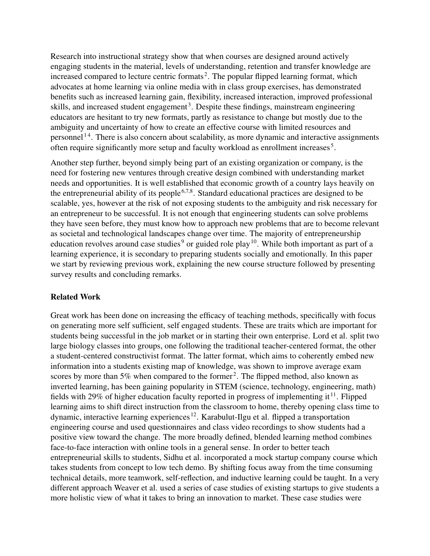Research into instructional strategy show that when courses are designed around actively engaging students in the material, levels of understanding, retention and transfer knowledge are increased compared to lecture centric formats<sup>2</sup>. The popular flipped learning format, which advocates at home learning via online media with in class group exercises, has demonstrated benefits such as increased learning gain, flexibility, increased interaction, improved professional skills, and increased student engagement<sup>3</sup>. Despite these findings, mainstream engineering educators are hesitant to try new formats, partly as resistance to change but mostly due to the ambiguity and uncertainty of how to create an effective course with limited resources and personnel<sup>14</sup>. There is also concern about scalability, as more dynamic and interactive assignments often require significantly more setup and faculty workload as enrollment increases<sup>5</sup>.

Another step further, beyond simply being part of an existing organization or company, is the need for fostering new ventures through creative design combined with understanding market needs and opportunities. It is well established that economic growth of a country lays heavily on the entrepreneurial ability of its people<sup>6,7,8</sup>. Standard educational practices are designed to be scalable, yes, however at the risk of not exposing students to the ambiguity and risk necessary for an entrepreneur to be successful. It is not enough that engineering students can solve problems they have seen before, they must know how to approach new problems that are to become relevant as societal and technological landscapes change over time. The majority of entrepreneurship education revolves around case studies<sup>9</sup> or guided role play<sup>10</sup>. While both important as part of a learning experience, it is secondary to preparing students socially and emotionally. In this paper we start by reviewing previous work, explaining the new course structure followed by presenting survey results and concluding remarks.

### Related Work

Great work has been done on increasing the efficacy of teaching methods, specifically with focus on generating more self sufficient, self engaged students. These are traits which are important for students being successful in the job market or in starting their own enterprise. Lord et al. split two large biology classes into groups, one following the traditional teacher-centered format, the other a student-centered constructivist format. The latter format, which aims to coherently embed new information into a students existing map of knowledge, was shown to improve average exam scores by more than 5% when compared to the former<sup>2</sup>. The flipped method, also known as inverted learning, has been gaining popularity in STEM (science, technology, engineering, math) fields with 29% of higher education faculty reported in progress of implementing it  $11$ . Flipped learning aims to shift direct instruction from the classroom to home, thereby opening class time to dynamic, interactive learning experiences<sup>12</sup>. Karabulut-Ilgu et al. flipped a transportation engineering course and used questionnaires and class video recordings to show students had a positive view toward the change. The more broadly defined, blended learning method combines face-to-face interaction with online tools in a general sense. In order to better teach entrepreneurial skills to students, Sidhu et al. incorporated a mock startup company course which takes students from concept to low tech demo. By shifting focus away from the time consuming technical details, more teamwork, self-reflection, and inductive learning could be taught. In a very different approach Weaver et al. used a series of case studies of existing startups to give students a more holistic view of what it takes to bring an innovation to market. These case studies were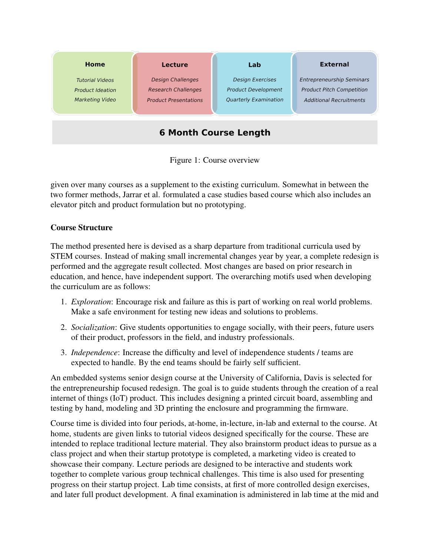

Figure 1: Course overview

given over many courses as a supplement to the existing curriculum. Somewhat in between the two former methods, Jarrar et al. formulated a case studies based course which also includes an elevator pitch and product formulation but no prototyping.

### Course Structure

The method presented here is devised as a sharp departure from traditional curricula used by STEM courses. Instead of making small incremental changes year by year, a complete redesign is performed and the aggregate result collected. Most changes are based on prior research in education, and hence, have independent support. The overarching motifs used when developing the curriculum are as follows:

- 1. *Exploration*: Encourage risk and failure as this is part of working on real world problems. Make a safe environment for testing new ideas and solutions to problems.
- 2. *Socialization*: Give students opportunities to engage socially, with their peers, future users of their product, professors in the field, and industry professionals.
- 3. *Independence*: Increase the difficulty and level of independence students / teams are expected to handle. By the end teams should be fairly self sufficient.

An embedded systems senior design course at the University of California, Davis is selected for the entrepreneurship focused redesign. The goal is to guide students through the creation of a real internet of things (IoT) product. This includes designing a printed circuit board, assembling and testing by hand, modeling and 3D printing the enclosure and programming the firmware.

Course time is divided into four periods, at-home, in-lecture, in-lab and external to the course. At home, students are given links to tutorial videos designed specifically for the course. These are intended to replace traditional lecture material. They also brainstorm product ideas to pursue as a class project and when their startup prototype is completed, a marketing video is created to showcase their company. Lecture periods are designed to be interactive and students work together to complete various group technical challenges. This time is also used for presenting progress on their startup project. Lab time consists, at first of more controlled design exercises, and later full product development. A final examination is administered in lab time at the mid and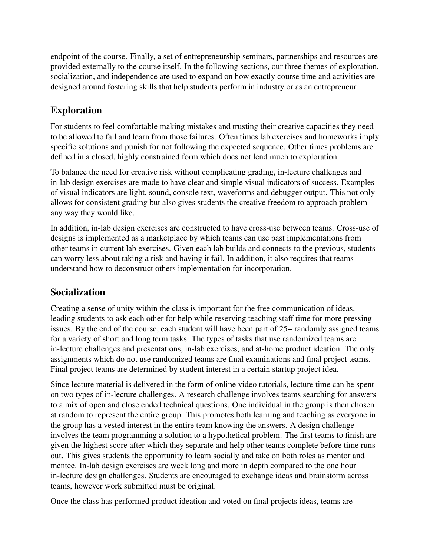endpoint of the course. Finally, a set of entrepreneurship seminars, partnerships and resources are provided externally to the course itself. In the following sections, our three themes of exploration, socialization, and independence are used to expand on how exactly course time and activities are designed around fostering skills that help students perform in industry or as an entrepreneur.

# Exploration

For students to feel comfortable making mistakes and trusting their creative capacities they need to be allowed to fail and learn from those failures. Often times lab exercises and homeworks imply specific solutions and punish for not following the expected sequence. Other times problems are defined in a closed, highly constrained form which does not lend much to exploration.

To balance the need for creative risk without complicating grading, in-lecture challenges and in-lab design exercises are made to have clear and simple visual indicators of success. Examples of visual indicators are light, sound, console text, waveforms and debugger output. This not only allows for consistent grading but also gives students the creative freedom to approach problem any way they would like.

In addition, in-lab design exercises are constructed to have cross-use between teams. Cross-use of designs is implemented as a marketplace by which teams can use past implementations from other teams in current lab exercises. Given each lab builds and connects to the previous, students can worry less about taking a risk and having it fail. In addition, it also requires that teams understand how to deconstruct others implementation for incorporation.

## Socialization

Creating a sense of unity within the class is important for the free communication of ideas, leading students to ask each other for help while reserving teaching staff time for more pressing issues. By the end of the course, each student will have been part of 25+ randomly assigned teams for a variety of short and long term tasks. The types of tasks that use randomized teams are in-lecture challenges and presentations, in-lab exercises, and at-home product ideation. The only assignments which do not use randomized teams are final examinations and final project teams. Final project teams are determined by student interest in a certain startup project idea.

Since lecture material is delivered in the form of online video tutorials, lecture time can be spent on two types of in-lecture challenges. A research challenge involves teams searching for answers to a mix of open and close ended technical questions. One individual in the group is then chosen at random to represent the entire group. This promotes both learning and teaching as everyone in the group has a vested interest in the entire team knowing the answers. A design challenge involves the team programming a solution to a hypothetical problem. The first teams to finish are given the highest score after which they separate and help other teams complete before time runs out. This gives students the opportunity to learn socially and take on both roles as mentor and mentee. In-lab design exercises are week long and more in depth compared to the one hour in-lecture design challenges. Students are encouraged to exchange ideas and brainstorm across teams, however work submitted must be original.

Once the class has performed product ideation and voted on final projects ideas, teams are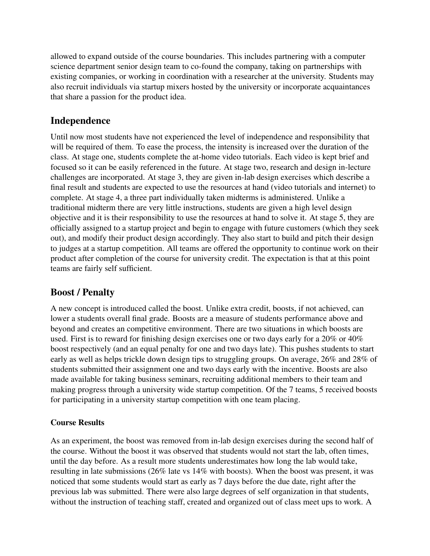allowed to expand outside of the course boundaries. This includes partnering with a computer science department senior design team to co-found the company, taking on partnerships with existing companies, or working in coordination with a researcher at the university. Students may also recruit individuals via startup mixers hosted by the university or incorporate acquaintances that share a passion for the product idea.

## Independence

Until now most students have not experienced the level of independence and responsibility that will be required of them. To ease the process, the intensity is increased over the duration of the class. At stage one, students complete the at-home video tutorials. Each video is kept brief and focused so it can be easily referenced in the future. At stage two, research and design in-lecture challenges are incorporated. At stage 3, they are given in-lab design exercises which describe a final result and students are expected to use the resources at hand (video tutorials and internet) to complete. At stage 4, a three part individually taken midterms is administered. Unlike a traditional midterm there are very little instructions, students are given a high level design objective and it is their responsibility to use the resources at hand to solve it. At stage 5, they are officially assigned to a startup project and begin to engage with future customers (which they seek out), and modify their product design accordingly. They also start to build and pitch their design to judges at a startup competition. All teams are offered the opportunity to continue work on their product after completion of the course for university credit. The expectation is that at this point teams are fairly self sufficient.

# Boost / Penalty

A new concept is introduced called the boost. Unlike extra credit, boosts, if not achieved, can lower a students overall final grade. Boosts are a measure of students performance above and beyond and creates an competitive environment. There are two situations in which boosts are used. First is to reward for finishing design exercises one or two days early for a 20% or 40% boost respectively (and an equal penalty for one and two days late). This pushes students to start early as well as helps trickle down design tips to struggling groups. On average, 26% and 28% of students submitted their assignment one and two days early with the incentive. Boosts are also made available for taking business seminars, recruiting additional members to their team and making progress through a university wide startup competition. Of the 7 teams, 5 received boosts for participating in a university startup competition with one team placing.

### Course Results

As an experiment, the boost was removed from in-lab design exercises during the second half of the course. Without the boost it was observed that students would not start the lab, often times, until the day before. As a result more students underestimates how long the lab would take, resulting in late submissions (26% late vs 14% with boosts). When the boost was present, it was noticed that some students would start as early as 7 days before the due date, right after the previous lab was submitted. There were also large degrees of self organization in that students, without the instruction of teaching staff, created and organized out of class meet ups to work. A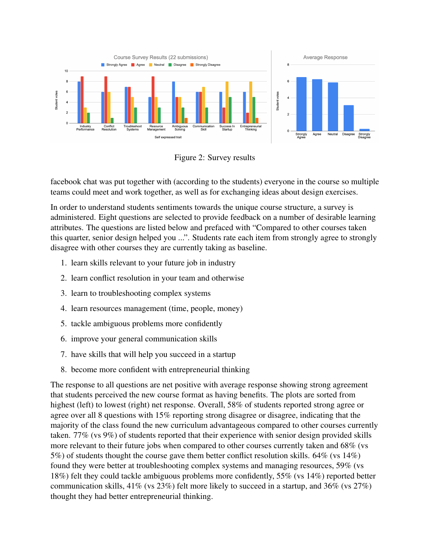

Figure 2: Survey results

facebook chat was put together with (according to the students) everyone in the course so multiple teams could meet and work together, as well as for exchanging ideas about design exercises.

In order to understand students sentiments towards the unique course structure, a survey is administered. Eight questions are selected to provide feedback on a number of desirable learning attributes. The questions are listed below and prefaced with "Compared to other courses taken this quarter, senior design helped you ...". Students rate each item from strongly agree to strongly disagree with other courses they are currently taking as baseline.

- 1. learn skills relevant to your future job in industry
- 2. learn conflict resolution in your team and otherwise
- 3. learn to troubleshooting complex systems
- 4. learn resources management (time, people, money)
- 5. tackle ambiguous problems more confidently
- 6. improve your general communication skills
- 7. have skills that will help you succeed in a startup
- 8. become more confident with entrepreneurial thinking

The response to all questions are net positive with average response showing strong agreement that students perceived the new course format as having benefits. The plots are sorted from highest (left) to lowest (right) net response. Overall, 58% of students reported strong agree or agree over all 8 questions with 15% reporting strong disagree or disagree, indicating that the majority of the class found the new curriculum advantageous compared to other courses currently taken. 77% (vs 9%) of students reported that their experience with senior design provided skills more relevant to their future jobs when compared to other courses currently taken and 68% (vs 5%) of students thought the course gave them better conflict resolution skills. 64% (vs 14%) found they were better at troubleshooting complex systems and managing resources, 59% (vs 18%) felt they could tackle ambiguous problems more confidently, 55% (vs 14%) reported better communication skills, 41% (vs 23%) felt more likely to succeed in a startup, and 36% (vs 27%) thought they had better entrepreneurial thinking.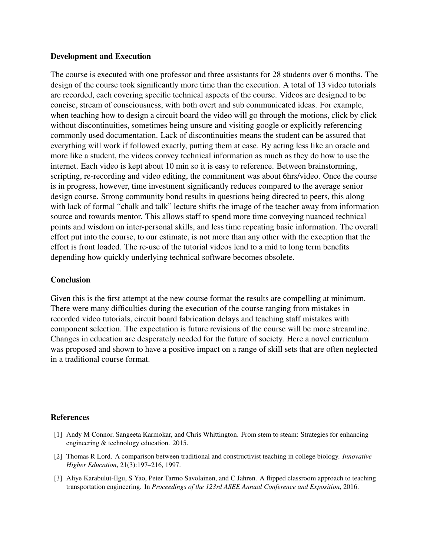### Development and Execution

The course is executed with one professor and three assistants for 28 students over 6 months. The design of the course took significantly more time than the execution. A total of 13 video tutorials are recorded, each covering specific technical aspects of the course. Videos are designed to be concise, stream of consciousness, with both overt and sub communicated ideas. For example, when teaching how to design a circuit board the video will go through the motions, click by click without discontinuities, sometimes being unsure and visiting google or explicitly referencing commonly used documentation. Lack of discontinuities means the student can be assured that everything will work if followed exactly, putting them at ease. By acting less like an oracle and more like a student, the videos convey technical information as much as they do how to use the internet. Each video is kept about 10 min so it is easy to reference. Between brainstorming, scripting, re-recording and video editing, the commitment was about 6hrs/video. Once the course is in progress, however, time investment significantly reduces compared to the average senior design course. Strong community bond results in questions being directed to peers, this along with lack of formal "chalk and talk" lecture shifts the image of the teacher away from information source and towards mentor. This allows staff to spend more time conveying nuanced technical points and wisdom on inter-personal skills, and less time repeating basic information. The overall effort put into the course, to our estimate, is not more than any other with the exception that the effort is front loaded. The re-use of the tutorial videos lend to a mid to long term benefits depending how quickly underlying technical software becomes obsolete.

### **Conclusion**

Given this is the first attempt at the new course format the results are compelling at minimum. There were many difficulties during the execution of the course ranging from mistakes in recorded video tutorials, circuit board fabrication delays and teaching staff mistakes with component selection. The expectation is future revisions of the course will be more streamline. Changes in education are desperately needed for the future of society. Here a novel curriculum was proposed and shown to have a positive impact on a range of skill sets that are often neglected in a traditional course format.

### References

- [1] Andy M Connor, Sangeeta Karmokar, and Chris Whittington. From stem to steam: Strategies for enhancing engineering & technology education. 2015.
- [2] Thomas R Lord. A comparison between traditional and constructivist teaching in college biology. *Innovative Higher Education*, 21(3):197–216, 1997.
- [3] Aliye Karabulut-Ilgu, S Yao, Peter Tarmo Savolainen, and C Jahren. A flipped classroom approach to teaching transportation engineering. In *Proceedings of the 123rd ASEE Annual Conference and Exposition*, 2016.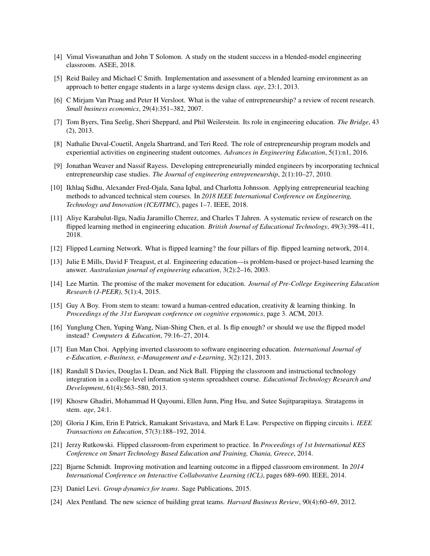- [4] Vimal Viswanathan and John T Solomon. A study on the student success in a blended-model engineering classroom. ASEE, 2018.
- [5] Reid Bailey and Michael C Smith. Implementation and assessment of a blended learning environment as an approach to better engage students in a large systems design class. *age*, 23:1, 2013.
- [6] C Mirjam Van Praag and Peter H Versloot. What is the value of entrepreneurship? a review of recent research. *Small business economics*, 29(4):351–382, 2007.
- [7] Tom Byers, Tina Seelig, Sheri Sheppard, and Phil Weilerstein. Its role in engineering education. *The Bridge*, 43 (2), 2013.
- [8] Nathalie Duval-Couetil, Angela Shartrand, and Teri Reed. The role of entrepreneurship program models and experiential activities on engineering student outcomes. *Advances in Engineering Education*, 5(1):n1, 2016.
- [9] Jonathan Weaver and Nassif Rayess. Developing entrepreneurially minded engineers by incorporating technical entrepreneurship case studies. *The Journal of engineering entrepreneurship*, 2(1):10–27, 2010.
- [10] Ikhlaq Sidhu, Alexander Fred-Ojala, Sana Iqbal, and Charlotta Johnsson. Applying entrepreneurial teaching methods to advanced technical stem courses. In *2018 IEEE International Conference on Engineering, Technology and Innovation (ICE/ITMC)*, pages 1–7. IEEE, 2018.
- [11] Aliye Karabulut-Ilgu, Nadia Jaramillo Cherrez, and Charles T Jahren. A systematic review of research on the flipped learning method in engineering education. *British Journal of Educational Technology*, 49(3):398–411, 2018.
- [12] Flipped Learning Network. What is flipped learning? the four pillars of flip. flipped learning network, 2014.
- [13] Julie E Mills, David F Treagust, et al. Engineering education—is problem-based or project-based learning the answer. *Australasian journal of engineering education*, 3(2):2–16, 2003.
- [14] Lee Martin. The promise of the maker movement for education. *Journal of Pre-College Engineering Education Research (J-PEER)*, 5(1):4, 2015.
- [15] Guy A Boy. From stem to steam: toward a human-centred education, creativity & learning thinking. In *Proceedings of the 31st European conference on cognitive ergonomics*, page 3. ACM, 2013.
- [16] Yunglung Chen, Yuping Wang, Nian-Shing Chen, et al. Is flip enough? or should we use the flipped model instead? *Computers & Education*, 79:16–27, 2014.
- [17] Eun Man Choi. Applying inverted classroom to software engineering education. *International Journal of e-Education, e-Business, e-Management and e-Learning*, 3(2):121, 2013.
- [18] Randall S Davies, Douglas L Dean, and Nick Ball. Flipping the classroom and instructional technology integration in a college-level information systems spreadsheet course. *Educational Technology Research and Development*, 61(4):563–580, 2013.
- [19] Khosrw Ghadiri, Mohammad H Qayoumi, Ellen Junn, Ping Hsu, and Sutee Sujitparapitaya. Stratagems in stem. *age*, 24:1.
- [20] Gloria J Kim, Erin E Patrick, Ramakant Srivastava, and Mark E Law. Perspective on flipping circuits i. *IEEE Transactions on Education*, 57(3):188–192, 2014.
- [21] Jerzy Rutkowski. Flipped classroom-from experiment to practice. In *Proceedings of 1st International KES Conference on Smart Technology Based Education and Training, Chania, Greece*, 2014.
- [22] Bjarne Schmidt. Improving motivation and learning outcome in a flipped classroom environment. In *2014 International Conference on Interactive Collaborative Learning (ICL)*, pages 689–690. IEEE, 2014.
- [23] Daniel Levi. *Group dynamics for teams*. Sage Publications, 2015.
- [24] Alex Pentland. The new science of building great teams. *Harvard Business Review*, 90(4):60–69, 2012.